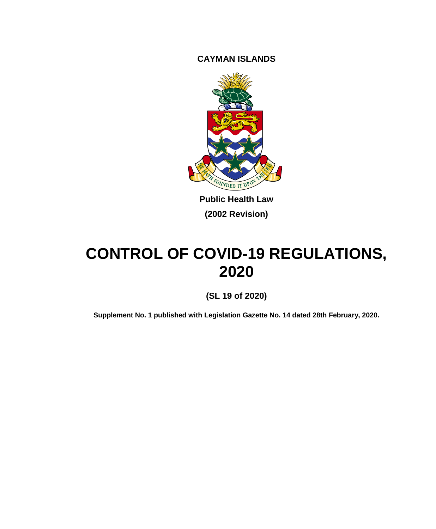**CAYMAN ISLANDS**



**Public Health Law (2002 Revision)**

# **CONTROL OF COVID-19 REGULATIONS, 2020**

**(SL 19 of 2020)**

**Supplement No. 1 published with Legislation Gazette No. 14 dated 28th February, 2020.**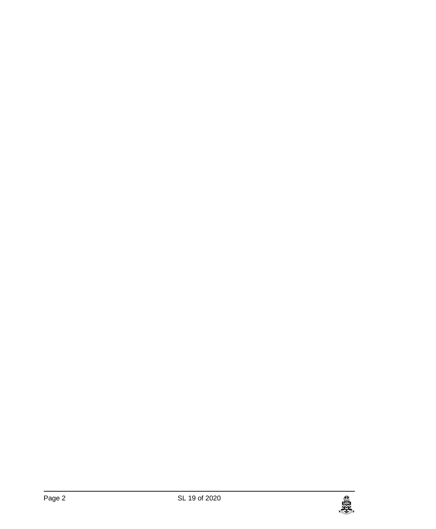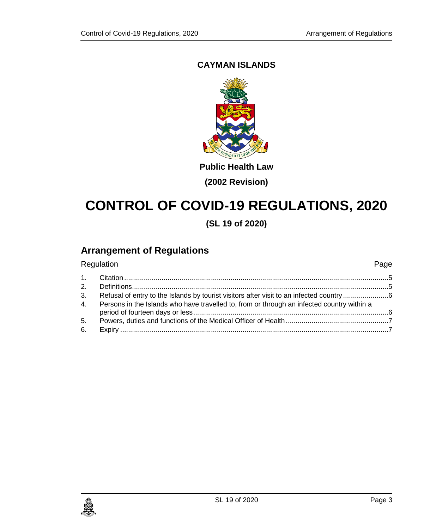## **CAYMAN ISLANDS**



**(2002 Revision)**

# **CONTROL OF COVID-19 REGULATIONS, 2020**

**(SL 19 of 2020)**

## **Arrangement of Regulations**

| Regulation |                                                                                               | Page |  |
|------------|-----------------------------------------------------------------------------------------------|------|--|
|            |                                                                                               |      |  |
|            |                                                                                               |      |  |
|            |                                                                                               |      |  |
|            | 4. Persons in the Islands who have travelled to, from or through an infected country within a |      |  |
|            |                                                                                               |      |  |
|            |                                                                                               |      |  |
|            |                                                                                               |      |  |

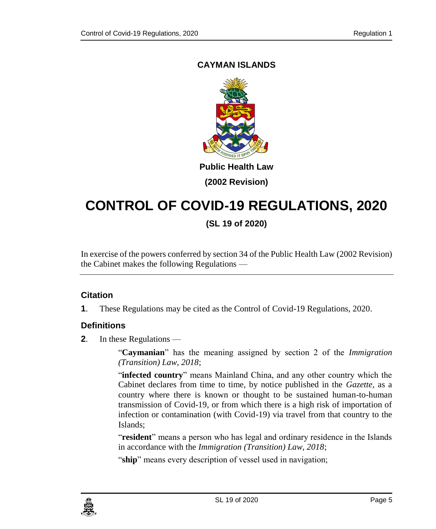## <span id="page-4-0"></span>**CAYMAN ISLANDS**



**(2002 Revision)**

# **CONTROL OF COVID-19 REGULATIONS, 2020**

**(SL 19 of 2020)**

In exercise of the powers conferred by section 34 of the Public Health Law (2002 Revision) the Cabinet makes the following Regulations —

#### **1. Citation**

**1**. These Regulations may be cited as the Control of Covid-19 Regulations, 2020.

#### <span id="page-4-1"></span>**2. Definitions**

**2**. In these Regulations —

"**Caymanian**" has the meaning assigned by section 2 of the *Immigration (Transition) Law, 2018*;

"**infected country**" means Mainland China, and any other country which the Cabinet declares from time to time, by notice published in the *Gazette*, as a country where there is known or thought to be sustained human-to-human transmission of Covid-19, or from which there is a high risk of importation of infection or contamination (with Covid-19) via travel from that country to the Islands;

"**resident**" means a person who has legal and ordinary residence in the Islands in accordance with the *Immigration (Transition) Law, 2018*;

"ship" means every description of vessel used in navigation;

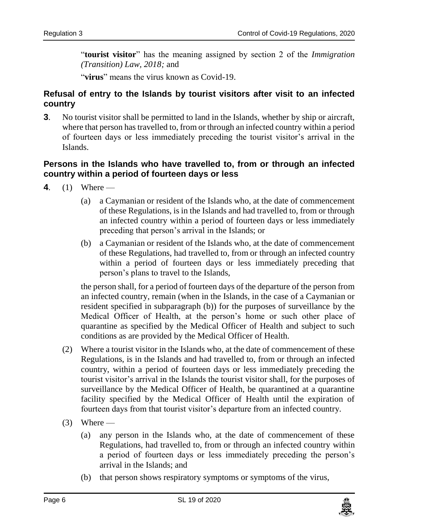"**tourist visitor**" has the meaning assigned by section 2 of the *Immigration (Transition) Law, 2018;* and

"**virus**" means the virus known as Covid-19.

#### <span id="page-5-0"></span>**3. Refusal of entry to the Islands by tourist visitors after visit to an infected country**

**3**. No tourist visitor shall be permitted to land in the Islands, whether by ship or aircraft, where that person has travelled to, from or through an infected country within a period of fourteen days or less immediately preceding the tourist visitor's arrival in the Islands.

#### <span id="page-5-1"></span>**4. Persons in the Islands who have travelled to, from or through an infected country within a period of fourteen days or less**

- **4**. (1) Where
	- (a) a Caymanian or resident of the Islands who, at the date of commencement of these Regulations, is in the Islands and had travelled to, from or through an infected country within a period of fourteen days or less immediately preceding that person's arrival in the Islands; or
	- (b) a Caymanian or resident of the Islands who, at the date of commencement of these Regulations, had travelled to, from or through an infected country within a period of fourteen days or less immediately preceding that person's plans to travel to the Islands,

the person shall, for a period of fourteen days of the departure of the person from an infected country, remain (when in the Islands, in the case of a Caymanian or resident specified in subparagraph (b)) for the purposes of surveillance by the Medical Officer of Health, at the person's home or such other place of quarantine as specified by the Medical Officer of Health and subject to such conditions as are provided by the Medical Officer of Health.

- (2) Where a tourist visitor in the Islands who, at the date of commencement of these Regulations, is in the Islands and had travelled to, from or through an infected country, within a period of fourteen days or less immediately preceding the tourist visitor's arrival in the Islands the tourist visitor shall, for the purposes of surveillance by the Medical Officer of Health, be quarantined at a quarantine facility specified by the Medical Officer of Health until the expiration of fourteen days from that tourist visitor's departure from an infected country.
- $(3)$  Where
	- (a) any person in the Islands who, at the date of commencement of these Regulations, had travelled to, from or through an infected country within a period of fourteen days or less immediately preceding the person's arrival in the Islands; and
	- (b) that person shows respiratory symptoms or symptoms of the virus,